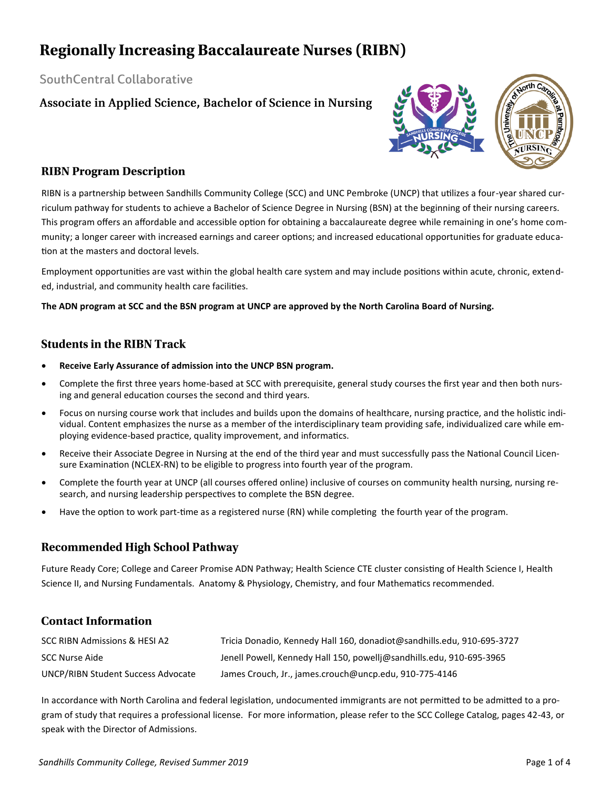# **Regionally Increasing Baccalaureate Nurses (RIBN)**

### SouthCentral Collaborative

Associate in Applied Science, Bachelor of Science in Nursing



### **RIBN Program Description**

RIBN is a partnership between Sandhills Community College (SCC) and UNC Pembroke (UNCP) that utilizes a four-year shared curriculum pathway for students to achieve a Bachelor of Science Degree in Nursing (BSN) at the beginning of their nursing careers. This program offers an affordable and accessible option for obtaining a baccalaureate degree while remaining in one's home community; a longer career with increased earnings and career options; and increased educational opportunities for graduate education at the masters and doctoral levels.

Employment opportunities are vast within the global health care system and may include positions within acute, chronic, extended, industrial, and community health care facilities.

### **The ADN program at SCC and the BSN program at UNCP are approved by the North Carolina Board of Nursing.**

### **Students in the RIBN Track**

- **Receive Early Assurance of admission into the UNCP BSN program.**
- Complete the first three years home-based at SCC with prerequisite, general study courses the first year and then both nursing and general education courses the second and third years.
- Focus on nursing course work that includes and builds upon the domains of healthcare, nursing practice, and the holistic individual. Content emphasizes the nurse as a member of the interdisciplinary team providing safe, individualized care while employing evidence-based practice, quality improvement, and informatics.
- Receive their Associate Degree in Nursing at the end of the third year and must successfully pass the National Council Licensure Examination (NCLEX-RN) to be eligible to progress into fourth year of the program.
- Complete the fourth year at UNCP (all courses offered online) inclusive of courses on community health nursing, nursing research, and nursing leadership perspectives to complete the BSN degree.
- Have the option to work part-time as a registered nurse (RN) while completing the fourth year of the program.

## **Recommended High School Pathway**

Future Ready Core; College and Career Promise ADN Pathway; Health Science CTE cluster consisting of Health Science I, Health Science II, and Nursing Fundamentals. Anatomy & Physiology, Chemistry, and four Mathematics recommended.

### **Contact Information**

| SCC RIBN Admissions & HESI A2      | Tricia Donadio, Kennedy Hall 160, donadiot@sandhills.edu, 910-695-3727 |
|------------------------------------|------------------------------------------------------------------------|
| SCC Nurse Aide                     | Jenell Powell, Kennedy Hall 150, powellj@sandhills.edu, 910-695-3965   |
| UNCP/RIBN Student Success Advocate | James Crouch, Jr., james.crouch@uncp.edu, 910-775-4146                 |

In accordance with North Carolina and federal legislation, undocumented immigrants are not permitted to be admitted to a program of study that requires a professional license. For more information, please refer to the SCC College Catalog, pages 42-43, or speak with the Director of Admissions.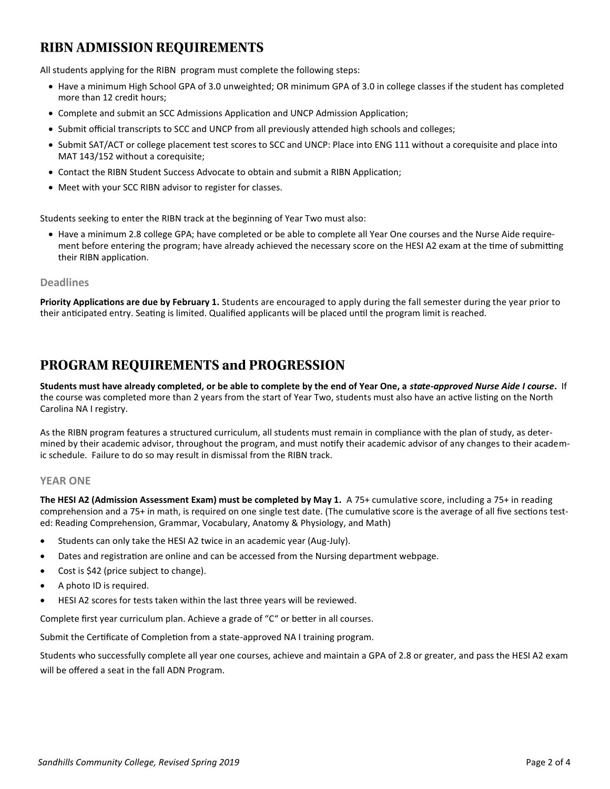# **RIBN ADMISSION REQUIREMENTS**

All students applying for the RIBN program must complete the following steps:

- Have a minimum High School GPA of 3.0 unweighted; OR minimum GPA of 3.0 in college classes if the student has completed more than 12 credit hours;
- Complete and submit an SCC Admissions Application and UNCP Admission Application;
- Submit official transcripts to SCC and UNCP from all previously attended high schools and colleges;
- Submit SAT/ACT or college placement test scores to SCC and UNCP: Place into ENG 111 without a corequisite and place into MAT 143/152 without a corequisite;
- Contact the RIBN Student Success Advocate to obtain and submit a RIBN Application;
- Meet with your SCC RIBN advisor to register for classes.

Students seeking to enter the RIBN track at the beginning of Year Two must also:

 Have a minimum 2.8 college GPA; have completed or be able to complete all Year One courses and the Nurse Aide requirement before entering the program; have already achieved the necessary score on the HESI A2 exam at the time of submitting their RIBN application.

### **Deadlines**

**Priority Applications are due by February 1.** Students are encouraged to apply during the fall semester during the year prior to their anticipated entry. Seating is limited. Qualified applicants will be placed until the program limit is reached.

## PROGRAM REQUIREMENTS and PROGRESSION

**Students must have already completed, or be able to complete by the end of Year One, a** *state-approved Nurse Aide I course***.** If the course was completed more than 2 years from the start of Year Two, students must also have an active listing on the North Carolina NA I registry.

As the RIBN program features a structured curriculum, all students must remain in compliance with the plan of study, as determined by their academic advisor, throughout the program, and must notify their academic advisor of any changes to their academic schedule. Failure to do so may result in dismissal from the RIBN track.

#### **YEAR ONE**

**The HESI A2 (Admission Assessment Exam) must be completed by May 1.** A 75+ cumulative score, including a 75+ in reading comprehension and a 75+ in math, is required on one single test date. (The cumulative score is the average of all five sections tested: Reading Comprehension, Grammar, Vocabulary, Anatomy & Physiology, and Math)

- Students can only take the HESI A2 twice in an academic year (Aug-July).
- Dates and registration are online and can be accessed from the Nursing department webpage.
- Cost is \$42 (price subject to change).
- A photo ID is required.
- HESI A2 scores for tests taken within the last three years will be reviewed.

Complete first year curriculum plan. Achieve a grade of "C" or better in all courses.

Submit the Certificate of Completion from a state-approved NA I training program.

Students who successfully complete all year one courses, achieve and maintain a GPA of 2.8 or greater, and pass the HESI A2 exam will be offered a seat in the fall ADN Program.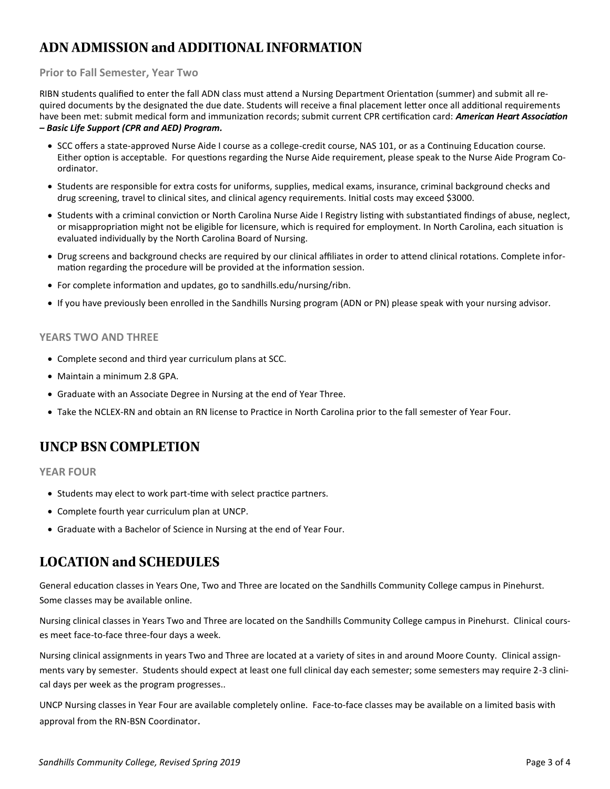# **ADN ADMISSION and ADDITIONAL INFORMATION**

### **Prior to Fall Semester, Year Two**

RIBN students qualified to enter the fall ADN class must attend a Nursing Department Orientation (summer) and submit all required documents by the designated the due date. Students will receive a final placement letter once all additional requirements have been met: submit medical form and immunization records; submit current CPR certification card: *American Heart Association – Basic Life Support (CPR and AED) Program.*

- SCC offers a state-approved Nurse Aide I course as a college-credit course, NAS 101, or as a Continuing Education course. Either option is acceptable. For questions regarding the Nurse Aide requirement, please speak to the Nurse Aide Program Coordinator.
- Students are responsible for extra costs for uniforms, supplies, medical exams, insurance, criminal background checks and drug screening, travel to clinical sites, and clinical agency requirements. Initial costs may exceed \$3000.
- Students with a criminal conviction or North Carolina Nurse Aide I Registry listing with substantiated findings of abuse, neglect, or misappropriation might not be eligible for licensure, which is required for employment. In North Carolina, each situation is evaluated individually by the North Carolina Board of Nursing.
- Drug screens and background checks are required by our clinical affiliates in order to attend clinical rotations. Complete information regarding the procedure will be provided at the information session.
- For complete information and updates, go to sandhills.edu/nursing/ribn.
- If you have previously been enrolled in the Sandhills Nursing program (ADN or PN) please speak with your nursing advisor.

### **YEARS TWO AND THREE**

- Complete second and third year curriculum plans at SCC.
- Maintain a minimum 2.8 GPA.
- Graduate with an Associate Degree in Nursing at the end of Year Three.
- Take the NCLEX-RN and obtain an RN license to Practice in North Carolina prior to the fall semester of Year Four.

## **UNCP BSN COMPLETION**

**YEAR FOUR**

- Students may elect to work part-time with select practice partners.
- Complete fourth year curriculum plan at UNCP.
- Graduate with a Bachelor of Science in Nursing at the end of Year Four.

## **LOCATION and SCHEDULES**

General education classes in Years One, Two and Three are located on the Sandhills Community College campus in Pinehurst. Some classes may be available online.

Nursing clinical classes in Years Two and Three are located on the Sandhills Community College campus in Pinehurst. Clinical courses meet face-to-face three-four days a week.

Nursing clinical assignments in years Two and Three are located at a variety of sites in and around Moore County. Clinical assignments vary by semester. Students should expect at least one full clinical day each semester; some semesters may require 2-3 clinical days per week as the program progresses..

UNCP Nursing classes in Year Four are available completely online. Face-to-face classes may be available on a limited basis with approval from the RN-BSN Coordinator.